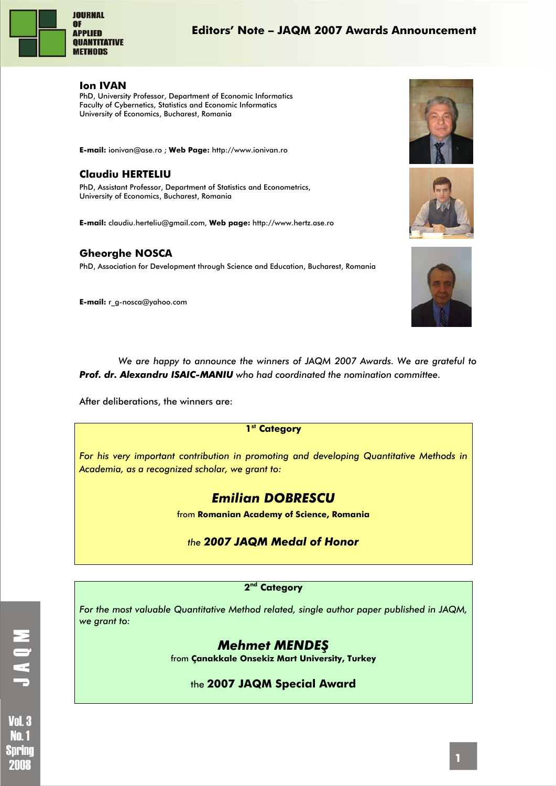

#### **Editors' Note – JAQM 2007 Awards Announcement**

#### **Ion IVAN**

PhD, University Professor, Department of Economic Informatics Faculty of Cybernetics, Statistics and Economic Informatics University of Economics, Bucharest, Romania

**E-mail:** ionivan@ase.ro ; **Web Page:** http://www.ionivan.ro

#### **Claudiu HERTELIU**

PhD, Assistant Professor, Department of Statistics and Econometrics, University of Economics, Bucharest, Romania

**E-mail:** claudiu.herteliu@gmail.com, **Web page:** http://www.hertz.ase.ro

#### **Gheorghe NOSCA**

PhD, Association for Development through Science and Education, Bucharest, Romania

**E-mail:** r\_g-nosca@yahoo.com







*We are happy to announce the winners of JAQM 2007 Awards. We are grateful to Prof. dr. Alexandru ISAIC-MANIU who had coordinated the nomination committee.* 

After deliberations, the winners are:

#### **1st Category**

*For his very important contribution in promoting and developing Quantitative Methods in Academia, as a recognized scholar, we grant to:* 

# *Emilian DOBRESCU*

from **Romanian Academy of Science, Romania**

#### *the 2007 JAQM Medal of Honor*

#### **2nd Category**

*For the most valuable Quantitative Method related, single author paper published in JAQM, we grant to:* 

## *Mehmet MENDEŞ*

from **Çanakkale Onsekiz Mart University, Turkey**

#### the **2007 JAQM Special Award**